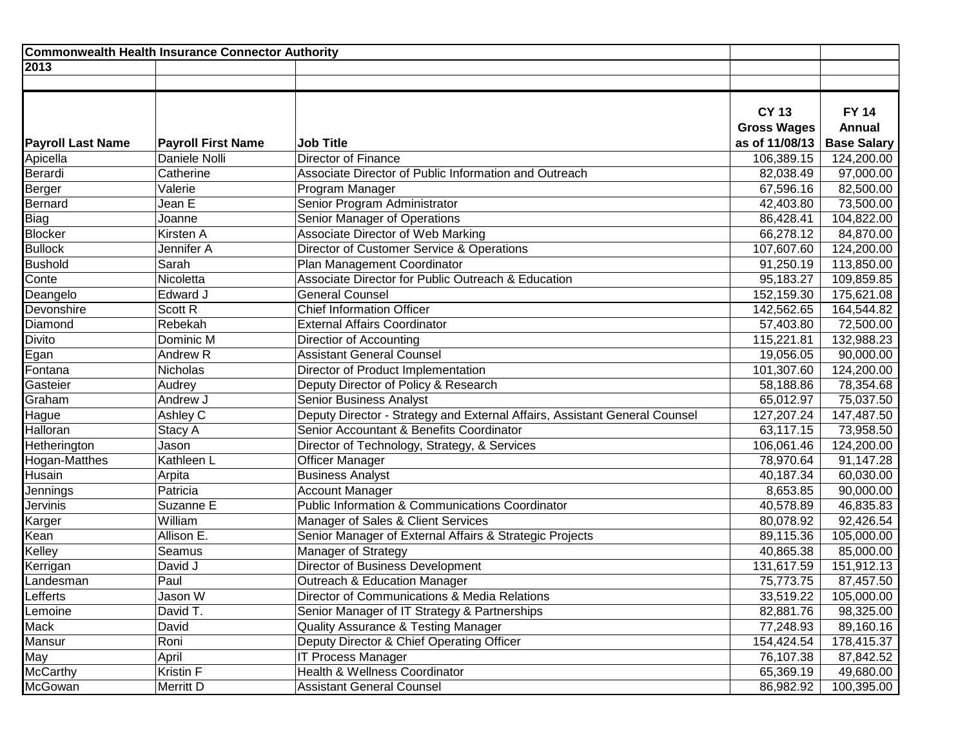| Commonwealth Health Insurance Connector Authority |                           |                                                                            |                                                      |                                                     |
|---------------------------------------------------|---------------------------|----------------------------------------------------------------------------|------------------------------------------------------|-----------------------------------------------------|
| 2013                                              |                           |                                                                            |                                                      |                                                     |
|                                                   |                           |                                                                            |                                                      |                                                     |
| <b>Payroll Last Name</b>                          | <b>Payroll First Name</b> | <b>Job Title</b>                                                           | <b>CY 13</b><br><b>Gross Wages</b><br>as of 11/08/13 | <b>FY 14</b><br><b>Annual</b><br><b>Base Salary</b> |
| Apicella                                          | Daniele Nolli             | <b>Director of Finance</b>                                                 | 106,389.15                                           | 124,200.00                                          |
| Berardi                                           | Catherine                 | Associate Director of Public Information and Outreach                      | 82,038.49                                            | 97,000.00                                           |
| Berger                                            | Valerie                   | Program Manager                                                            | 67,596.16                                            | 82,500.00                                           |
| Bernard                                           | Jean E                    | Senior Program Administrator                                               | 42,403.80                                            | 73,500.00                                           |
| Biag                                              | Joanne                    | Senior Manager of Operations                                               | 86,428.41                                            | 104,822.00                                          |
| Blocker                                           | Kirsten A                 | Associate Director of Web Marking                                          | 66,278.12                                            | 84,870.00                                           |
| <b>Bullock</b>                                    | Jennifer A                | Director of Customer Service & Operations                                  | 107,607.60                                           | 124,200.00                                          |
| <b>Bushold</b>                                    | Sarah                     | Plan Management Coordinator                                                | 91,250.19                                            | 113,850.00                                          |
| Conte                                             | Nicoletta                 | Associate Director for Public Outreach & Education                         | 95,183.27                                            | 109,859.85                                          |
| Deangelo                                          | Edward J                  | <b>General Counsel</b>                                                     | 152,159.30                                           | 175,621.08                                          |
| Devonshire                                        | Scott R                   | <b>Chief Information Officer</b>                                           | 142,562.65                                           | 164,544.82                                          |
| Diamond                                           | Rebekah                   | <b>External Affairs Coordinator</b>                                        | 57,403.80                                            | 72,500.00                                           |
| <b>Divito</b>                                     | Dominic M                 | Directior of Accounting                                                    | 115,221.81                                           | 132,988.23                                          |
| Egan                                              | Andrew <sub>R</sub>       | <b>Assistant General Counsel</b>                                           | 19,056.05                                            | 90,000.00                                           |
| Fontana                                           | Nicholas                  | Director of Product Implementation                                         | 101,307.60                                           | 124,200.00                                          |
| Gasteier                                          | Audrey                    | Deputy Director of Policy & Research                                       | 58,188.86                                            | 78,354.68                                           |
| Graham                                            | Andrew J                  | Senior Business Analyst                                                    | 65,012.97                                            | 75,037.50                                           |
| Hague                                             | Ashley C                  | Deputy Director - Strategy and External Affairs, Assistant General Counsel | 127,207.24                                           | 147,487.50                                          |
| Halloran                                          | Stacy A                   | Senior Accountant & Benefits Coordinator                                   | 63,117.15                                            | 73,958.50                                           |
| Hetherington                                      | Jason                     | Director of Technology, Strategy, & Services                               | 106,061.46                                           | 124,200.00                                          |
| Hogan-Matthes                                     | Kathleen L                | Officer Manager                                                            | 78,970.64                                            | 91,147.28                                           |
| Husain                                            | Arpita                    | <b>Business Analyst</b>                                                    | 40,187.34                                            | 60,030.00                                           |
| Jennings                                          | Patricia                  | <b>Account Manager</b>                                                     | 8,653.85                                             | 90,000.00                                           |
| Jervinis                                          | Suzanne E                 | Public Information & Communications Coordinator                            | 40,578.89                                            | 46,835.83                                           |
| Karger                                            | William                   | Manager of Sales & Client Services                                         | 80,078.92                                            | 92,426.54                                           |
| Kean                                              | Allison E.                | Senior Manager of External Affairs & Strategic Projects                    | 89,115.36                                            | 105,000.00                                          |
| Kelley                                            | Seamus                    | Manager of Strategy                                                        | 40,865.38                                            | 85,000.00                                           |
| Kerrigan                                          | David J                   | <b>Director of Business Development</b>                                    | 131,617.59                                           | 151,912.13                                          |
| Landesman                                         | Paul                      | Outreach & Education Manager                                               | 75,773.75                                            | 87,457.50                                           |
| Lefferts                                          | Jason W                   | Director of Communications & Media Relations                               | 33,519.22                                            | 105,000.00                                          |
| Lemoine                                           | David T.                  | Senior Manager of IT Strategy & Partnerships                               | 82,881.76                                            | 98,325.00                                           |
| Mack                                              | David                     | <b>Quality Assurance &amp; Testing Manager</b>                             | 77,248.93                                            | 89,160.16                                           |
| Mansur                                            | Roni                      | Deputy Director & Chief Operating Officer                                  | 154,424.54                                           | 178,415.37                                          |
| May                                               | April                     | <b>IT Process Manager</b>                                                  | 76,107.38                                            | 87,842.52                                           |
| McCarthy                                          | Kristin F                 | Health & Wellness Coordinator                                              | 65,369.19                                            | 49,680.00                                           |
| McGowan                                           | Merritt D                 | <b>Assistant General Counsel</b>                                           | 86,982.92                                            | 100,395.00                                          |